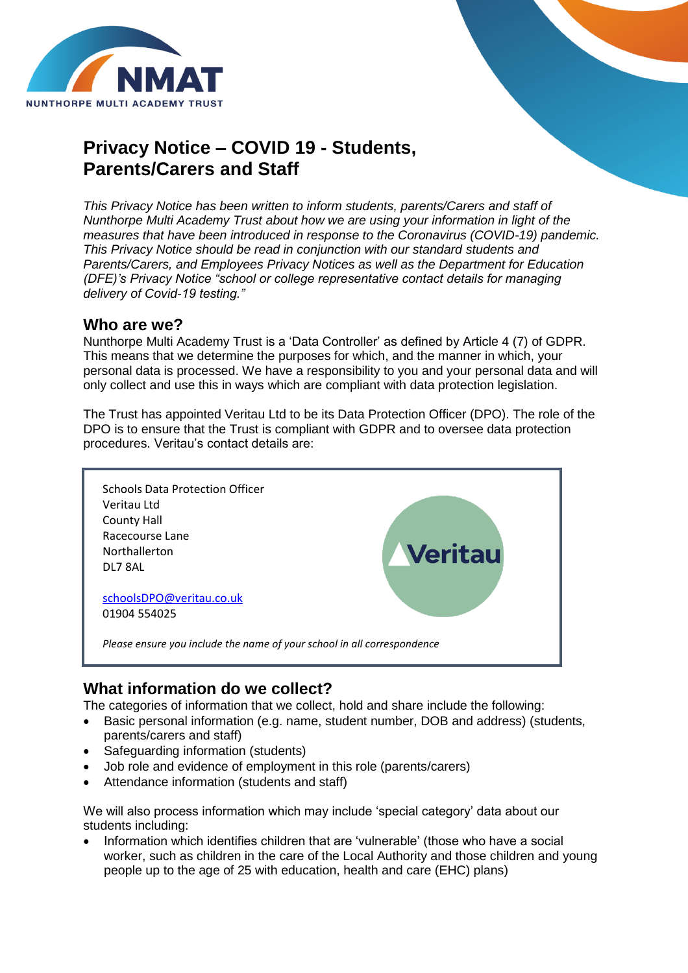

# **Privacy Notice – COVID 19 - Students, Parents/Carers and Staff**

*This Privacy Notice has been written to inform students, parents/Carers and staff of Nunthorpe Multi Academy Trust about how we are using your information in light of the measures that have been introduced in response to the Coronavirus (COVID-19) pandemic. This Privacy Notice should be read in conjunction with our standard students and Parents/Carers, and Employees Privacy Notices as well as the Department for Education (DFE)'s Privacy Notice "school or college representative contact details for managing delivery of Covid-19 testing."*

#### **Who are we?**

Nunthorpe Multi Academy Trust is a 'Data Controller' as defined by Article 4 (7) of GDPR. This means that we determine the purposes for which, and the manner in which, your personal data is processed. We have a responsibility to you and your personal data and will only collect and use this in ways which are compliant with data protection legislation.

The Trust has appointed Veritau Ltd to be its Data Protection Officer (DPO). The role of the DPO is to ensure that the Trust is compliant with GDPR and to oversee data protection procedures. Veritau's contact details are:



#### **What information do we collect?**

The categories of information that we collect, hold and share include the following:

- Basic personal information (e.g. name, student number, DOB and address) (students, parents/carers and staff)
- Safeguarding information (students)
- Job role and evidence of employment in this role (parents/carers)
- Attendance information (students and staff)

We will also process information which may include 'special category' data about our students including:

 Information which identifies children that are 'vulnerable' (those who have a social worker, such as children in the care of the Local Authority and those children and young people up to the age of 25 with education, health and care (EHC) plans)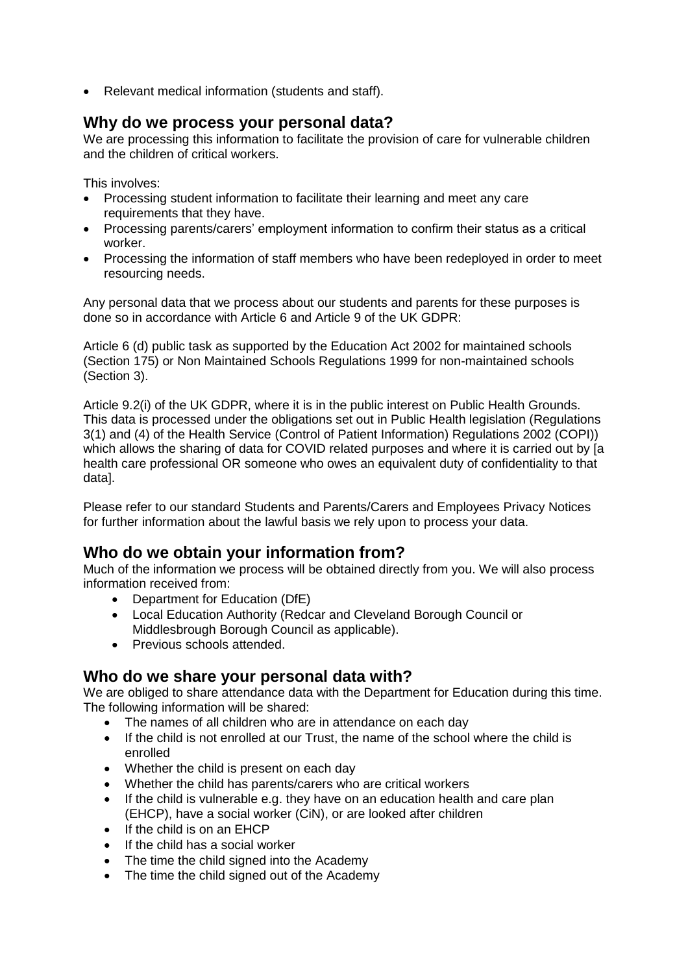Relevant medical information (students and staff).

#### **Why do we process your personal data?**

We are processing this information to facilitate the provision of care for vulnerable children and the children of critical workers.

This involves:

- Processing student information to facilitate their learning and meet any care requirements that they have.
- Processing parents/carers' employment information to confirm their status as a critical worker.
- Processing the information of staff members who have been redeployed in order to meet resourcing needs.

Any personal data that we process about our students and parents for these purposes is done so in accordance with Article 6 and Article 9 of the UK GDPR:

Article 6 (d) public task as supported by the Education Act 2002 for maintained schools (Section 175) or Non Maintained Schools Regulations 1999 for non-maintained schools (Section 3).

Article 9.2(i) of the UK GDPR, where it is in the public interest on Public Health Grounds. This data is processed under the obligations set out in Public Health legislation (Regulations 3(1) and (4) of the Health Service (Control of Patient Information) Regulations 2002 (COPI)) which allows the sharing of data for COVID related purposes and where it is carried out by [a health care professional OR someone who owes an equivalent duty of confidentiality to that data].

Please refer to our standard Students and Parents/Carers and Employees Privacy Notices for further information about the lawful basis we rely upon to process your data.

### **Who do we obtain your information from?**

Much of the information we process will be obtained directly from you. We will also process information received from:

- Department for Education (DfE)
- Local Education Authority (Redcar and Cleveland Borough Council or Middlesbrough Borough Council as applicable).
- Previous schools attended.

### **Who do we share your personal data with?**

We are obliged to share attendance data with the Department for Education during this time. The following information will be shared:

- The names of all children who are in attendance on each day
- If the child is not enrolled at our Trust, the name of the school where the child is enrolled
- Whether the child is present on each day
- Whether the child has parents/carers who are critical workers
- If the child is vulnerable e.g. they have on an education health and care plan (EHCP), have a social worker (CiN), or are looked after children
- If the child is on an EHCP
- If the child has a social worker
- The time the child signed into the Academy
- The time the child signed out of the Academy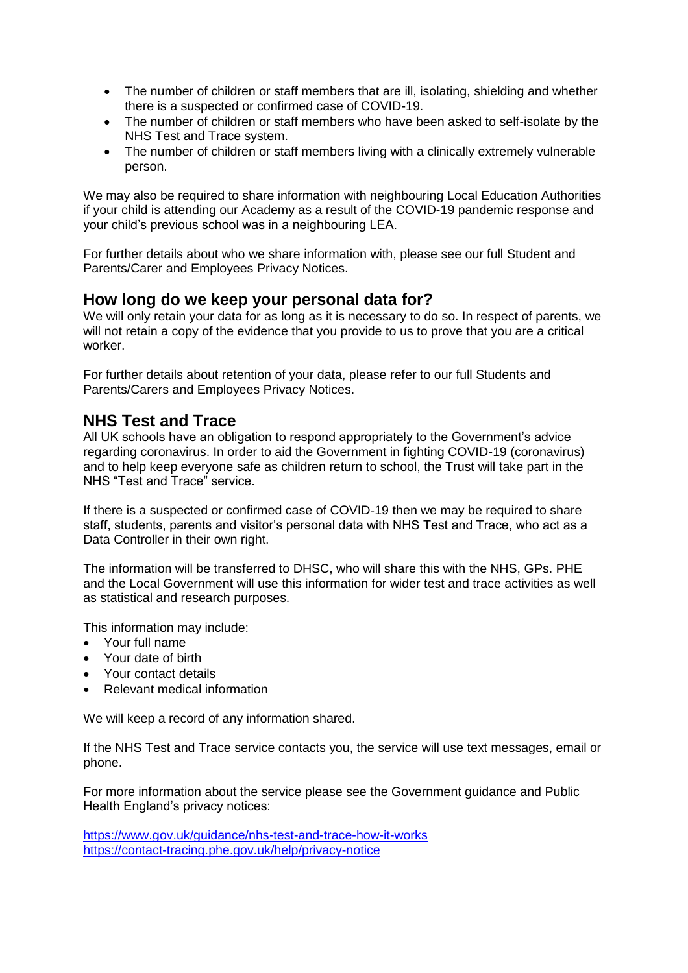- The number of children or staff members that are ill, isolating, shielding and whether there is a suspected or confirmed case of COVID-19.
- The number of children or staff members who have been asked to self-isolate by the NHS Test and Trace system.
- The number of children or staff members living with a clinically extremely vulnerable person.

We may also be required to share information with neighbouring Local Education Authorities if your child is attending our Academy as a result of the COVID-19 pandemic response and your child's previous school was in a neighbouring LEA.

For further details about who we share information with, please see our full Student and Parents/Carer and Employees Privacy Notices.

#### **How long do we keep your personal data for?**

We will only retain your data for as long as it is necessary to do so. In respect of parents, we will not retain a copy of the evidence that you provide to us to prove that you are a critical worker.

For further details about retention of your data, please refer to our full Students and Parents/Carers and Employees Privacy Notices.

#### **NHS Test and Trace**

All UK schools have an obligation to respond appropriately to the Government's advice regarding coronavirus. In order to aid the Government in fighting COVID-19 (coronavirus) and to help keep everyone safe as children return to school, the Trust will take part in the NHS "Test and Trace" service.

If there is a suspected or confirmed case of COVID-19 then we may be required to share staff, students, parents and visitor's personal data with NHS Test and Trace, who act as a Data Controller in their own right.

The information will be transferred to DHSC, who will share this with the NHS, GPs. PHE and the Local Government will use this information for wider test and trace activities as well as statistical and research purposes.

This information may include:

- Your full name
- Your date of birth
- Your contact details
- Relevant medical information

We will keep a record of any information shared.

If the NHS Test and Trace service contacts you, the service will use text messages, email or phone.

For more information about the service please see the Government guidance and Public Health England's privacy notices:

<https://www.gov.uk/guidance/nhs-test-and-trace-how-it-works> <https://contact-tracing.phe.gov.uk/help/privacy-notice>